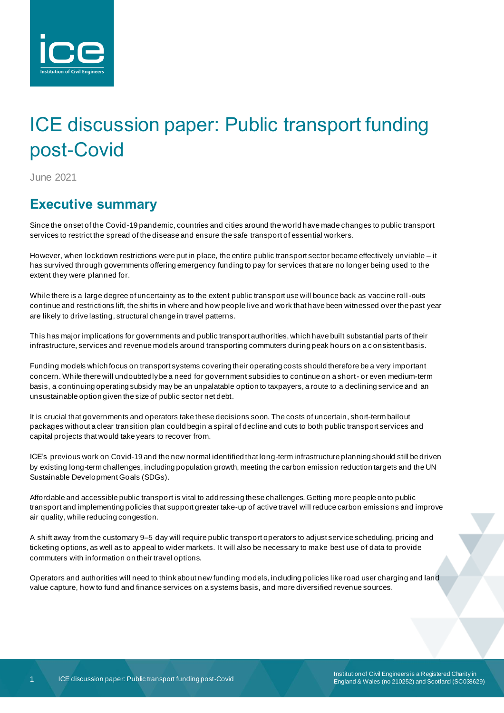

# ICE discussion paper: Public transport funding post-Covid

June 2021

# **Executive summary**

Since the onset of the Covid-19 pandemic, countries and cities around the world have made changes to public transport services to restrict the spread of the disease and ensure the safe transport of essential workers.

However, when lockdown restrictions were put in place, the entire public transport sector became effectively unviable – it has survived through governments offering emergency funding to pay for services that are no longer being used to the extent they were planned for.

While there is a large degree of uncertainty as to the extent public transport use will bounce back as vaccine roll-outs continue and restrictions lift, the shifts in where and how people live and work that have been witnessed over the past year are likely to drive lasting, structural change in travel patterns.

This has major implications for governments and public transport authorities, which have built substantial parts of their infrastructure, services and revenue models around transporting commuters during peak hours on a c onsistent basis.

Funding models which focus on transport systems covering their operating costs should therefore be a very important concern. While there will undoubtedly be a need for government subsidies to continue on a short- or even medium-term basis, a continuing operating subsidy may be an unpalatable option to taxpayers, a route to a declining service and an unsustainable option given the size of public sector net debt.

It is crucial that governments and operators take these decisions soon. The costs of uncertain, short-term bailout packages without a clear transition plan could begin a spiral of decline and cuts to both public transport services and capital projects that would take years to recover from.

ICE's previous work on Covid-19 and the new normal identified that long-term infrastructure planning should still be driven by existing long-term challenges, including population growth, meeting the carbon emission reduction targets and the UN Sustainable Development Goals (SDGs).

Affordable and accessible public transport is vital to addressing these challenges. Getting more people onto public transport and implementing policies that support greater take-up of active travel will reduce carbon emissions and improve air quality, while reducing congestion.

A shift away from the customary 9–5 day will require public transport operators to adjust service scheduling, pricing and ticketing options, as well as to appeal to wider markets. It will also be necessary to make best use of data to provide commuters with information on their travel options.

Operators and authorities will need to think about new funding models, including policies like road user charging and land value capture, how to fund and finance services on a systems basis, and more diversified revenue sources.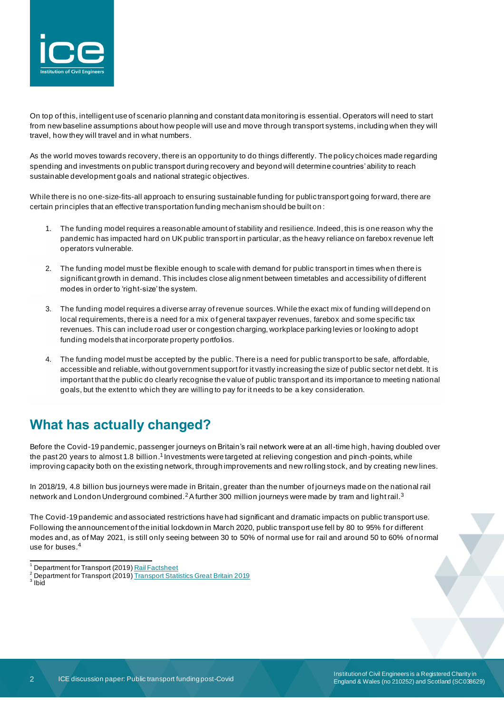

On top of this, intelligent use of scenario planning and constant data monitoring is essential. Operators will need to start from new baseline assumptions about how people will use and move through transport systems, including when they will travel, how they will travel and in what numbers.

As the world moves towards recovery, there is an opportunity to do things differently. The policy choices made regarding spending and investments on public transport during recovery and beyond will determine countries' ability to reach sustainable development goals and national strategic objectives.

While there is no one-size-fits-all approach to ensuring sustainable funding for public transport going forward, there are certain principles that an effective transportation funding mechanism should be built on :

- 1. The funding model requires a reasonable amount of stability and resilience. Indeed, this is one reason why the pandemic has impacted hard on UK public transport in particular, as the heavy reliance on farebox revenue left operators vulnerable.
- 2. The funding model must be flexible enough to scale with demand for public transport in times when there is significant growth in demand. This includes close alig nment between timetables and accessibility of different modes in order to 'right-size' the system.
- 3. The funding model requires a diverse array of revenue sources. While the exact mix of funding will depend on local requirements, there is a need for a mix of general taxpayer revenues, farebox and some specific tax revenues. This can include road user or congestion charging, workplace parking levies or looking to adopt funding models that incorporate property portfolios.
- 4. The funding model must be accepted by the public. There is a need for public transport to be safe, affordable, accessible and reliable, without government support for it vastly increasing the size of public sector net debt. It is important that the public do clearly recognise the value of public transport and its importance to meeting national goals, but the extent to which they are willing to pay for it needs to be a key consideration.

# **What has actually changed?**

Before the Covid-19 pandemic, passenger journeys on Britain's rail network were at an all-time high, having doubled over the past 20 years to almost 1.8 billion.<sup>1</sup> Investments were targeted at relieving congestion and pinch-points, while improving capacity both on the existing network, through improvements and new rolling stock, and by creating new lines.

In 2018/19, 4.8 billion bus journeys were made in Britain, greater than the number of journeys made on the national rail network and London Underground combined.<sup>2</sup>A further 300 million journeys were made by tram and light rail.<sup>3</sup>

The Covid-19 pandemic and associated restrictions have had significant and dramatic impacts on public transport use. Following the announcement of the initial lockdown in March 2020, public transport use fell by 80 to 95% for different modes and, as of May 2021, is still only seeing between 30 to 50% of normal use for rail and around 50 to 60% of normal use for buses.<sup>4</sup>

Department for Transport (2019[\) Rail Factsheet](https://assets.publishing.service.gov.uk/government/uploads/system/uploads/attachment_data/file/851082/rail-factsheet-2019.pdf)

<sup>2</sup> Department for Transport (2019[\) Transport Statistics Great Britain 2019](https://assets.publishing.service.gov.uk/government/uploads/system/uploads/attachment_data/file/870647/tsgb-2019.pdf)

<sup>&</sup>lt;sup>3</sup> Ibid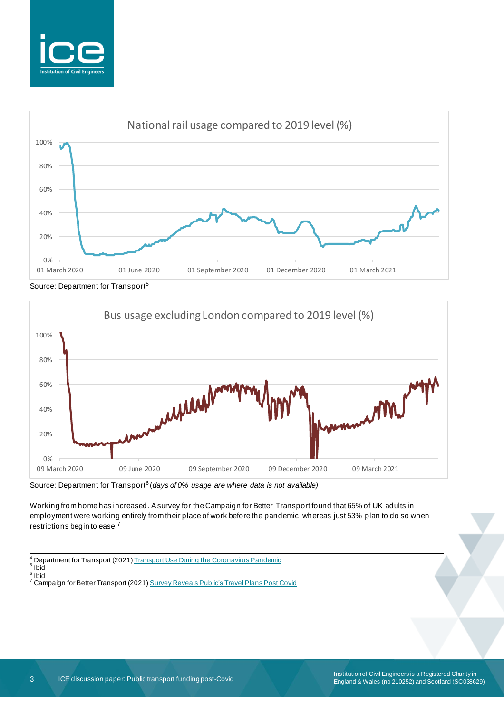



Source: Department for Transport<sup>5</sup>



Source: Department for Transport<sup>6</sup> (days of 0% usage are where data is not available)

Working from home has increased. A survey for the Campaign for Better Transport found that 65% of UK adults in employment were working entirely from their place of work before the pandemic, whereas just 53% plan to do so when restrictions begin to ease.<sup>7</sup>

 $^{4}$  Department for Transport (2021[\) Transport Use During the Coronavirus Pandemic](https://www.gov.uk/government/statistics/transport-use-during-the-coronavirus-covid-19-pandemic)

5 Ibid 6 Ibid

<sup>7</sup> Campaign for Better Transport (2021[\) Survey Reveals Public's Travel Plans Post Covid](https://bettertransport.org.uk/media/12-apr-2021-survey-reveals-publics-travel-plans-post-covid)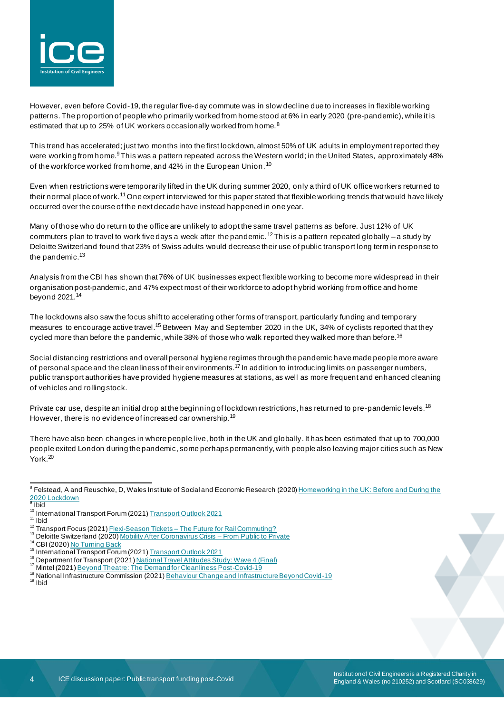

However, even before Covid-19, the regular five-day commute was in slow decline due to increases in flexible working patterns. The proportion of people who primarily worked from home stood at 6% in early 2020 (pre-pandemic), while it is estimated that up to 25% of UK workers occasionally worked from home.<sup>8</sup>

This trend has accelerated; just two months into the first lockdown, almost 50% of UK adults in employment reported they were working from home.<sup>9</sup>This was a pattern repeated across the Western world; in the United States, approximately 48% of the workforce worked from home, and 42% in the European Union.<sup>10</sup>

Even when restrictions were temporarily lifted in the UK during summer 2020, only a third of UK office workers returned to their normal place of work.<sup>11</sup> One expert interviewed for this paper stated that flexible working trends that would have likely occurred over the course of the next decade have instead happened in one year.

Many of those who do return to the office are unlikely to adopt the same travel patterns as before. Just 12% of UK commuters plan to travel to work five days a week after the pandemic.<sup>12</sup>This is a pattern repeated globally – a study by Deloitte Switzerland found that 23% of Swiss adults would decrease their use of public transport long term in response to the pandemic.<sup>13</sup>

Analysis from the CBI has shown that 76% of UK businesses expect flexible working to become more widespread in their organisation post-pandemic, and 47% expect most of their workforce to adopt hybrid working from office and home beyond 2021.<sup>14</sup>

The lockdowns also saw the focus shift to accelerating other forms of transport, particularly funding and temporary measures to encourage active travel.<sup>15</sup> Between May and September 2020 in the UK, 34% of cyclists reported that they cycled more than before the pandemic, while 38% of those who walk reported they walked more than before.<sup>16</sup>

Social distancing restrictions and overall personal hygiene regimes through the pandemic have made people more aware of personal space and the cleanliness of their environments.<sup>17</sup> In addition to introducing limits on passenger numbers, public transport authorities have provided hygiene measures at stations, as well as more frequent and enhanced cleaning of vehicles and rolling stock.

Private car use, despite an initial drop at the beginning of lockdown restrictions, has returned to pre-pandemic levels.<sup>18</sup> However, there is no evidence of increased car ownership.<sup>19</sup>

There have also been changes in where people live, both in the UK and globally. It has been estimated that up to 700,000 people exited London during the pandemic, some perhaps permanently, with people also leaving major cities such as New York.<sup>20</sup>

<sup>&</sup>lt;sup>8</sup> Felstead, A and Reuschke, D, Wales Institute of Social and Economic Research (2020) <u>Homeworking in the UK: Before and During the</u> [2020 Lockdown](https://wiserd.ac.uk/sites/default/files/documents/Homeworking%20in%20the%20UK_Report_Final_3.pdf)<br><sup>9</sup> Ibid

<sup>&</sup>lt;sup>10</sup> International Transport Forum (2021) **[Transport Outlook 2021](https://www.oecd-ilibrary.org/sites/16826a30-en/index.html?itemId=/content/publication/16826a30-en)** 

 $11$  Ibid

<sup>&</sup>lt;sup>12</sup> Transport Focus (2021) Flexi-Season Tickets – [The Future for Rail Commuting?](https://www.transportfocus.org.uk/blog/flexi-season-tickets-the-future-for-rail-commuting/)

<sup>&</sup>lt;sup>13</sup> Deloitte Switzerland (2020[\) Mobility After Coronavirus Crisis –](https://www2.deloitte.com/ch/en/pages/public-sector/articles/mobilitaet-nach-der-corona-krise.html) From Public to Private

<sup>&</sup>lt;sup>14</sup> CBI (2020) [No Turning Back](https://www.cbi.org.uk/media/5855/no-turning-back.pdf)

<sup>&</sup>lt;sup>15</sup> International Transport Forum (2021[\) Transport Outlook 2021](https://www.oecd-ilibrary.org/sites/16826a30-en/index.html?itemId=/content/publication/16826a30-en)

<sup>&</sup>lt;sup>16</sup> Department for Transport (2021[\) National Travel Attitudes Study: Wave 4 \(Final\)](https://assets.publishing.service.gov.uk/government/uploads/system/uploads/attachment_data/file/956170/national-travel-attitudes-study-wave-4-final.pdf)

<sup>17</sup> Mintel (2021) [Beyond Theatre: The Demand for Cleanliness Post-Covid-19](https://www.mintel.com/blog/covid-19/beyond-theater-the-demand-for-cleanliness-post-covid)

<sup>&</sup>lt;sup>18</sup> National Infrastructure Commission (2021[\) Behaviour Change and Infrastructure Beyond Covid-19](https://nic.org.uk/studies-reports/behaviour-change-and-infrastructure-beyond-covid-19/)

<sup>19</sup> Ibid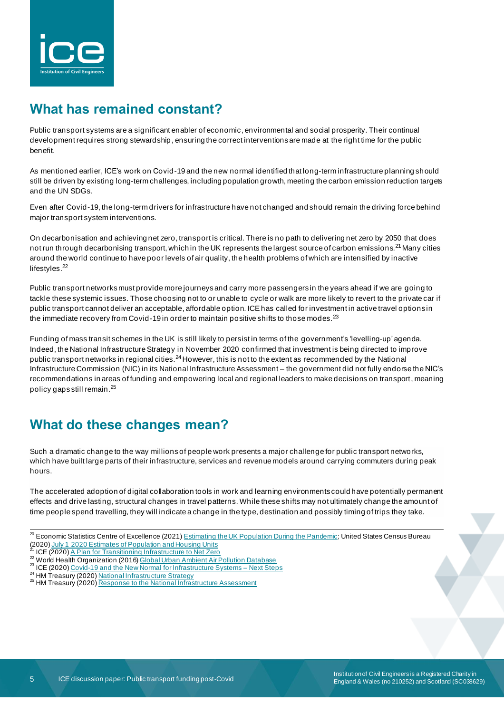

# **What has remained constant?**

Public transport systems are a significant enabler of economic, environmental and social prosperity. Their continual development requires strong stewardship, ensuring the correct interventions are made at the right time for the public benefit.

As mentioned earlier, ICE's work on Covid-19 and the new normal identified that long-term infrastructure planning should still be driven by existing long-term challenges, including population growth, meeting the carbon emission reduction targets and the UN SDGs.

Even after Covid-19, the long-term drivers for infrastructure have not changed and should remain the driving force behind major transport system interventions.

On decarbonisation and achieving net zero, transport is critical. There is no path to delivering net zero by 2050 that does not run through decarbonising transport, which in the UK represents the largest source of carbon emissions.<sup>21</sup> Many cities around the world continue to have poor levels of air quality, the health problems of which are intensified by inactive lifestyles.<sup>22</sup>

Public transport networks must provide more journeys and carry more passengers in the years ahead if we are going to tackle these systemic issues. Those choosing not to or unable to cycle or walk are more likely to revert to the private car if public transport cannot deliver an acceptable, affordable option. ICE has called for investment in active travel options in the immediate recovery from Covid-19 in order to maintain positive shifts to those modes.<sup>23</sup>

Funding of mass transit schemes in the UK is still likely to persist in terms of the government's 'levelling-up' agenda. Indeed, the National Infrastructure Strategy in November 2020 confirmed that investment is being directed to improve public transport networks in regional cities.<sup>24</sup> However, this is not to the extent as recommended by the National Infrastructure Commission (NIC) in its National Infrastructure Assessment – the government did not fully endorse the NIC's recommendations in areas of funding and empowering local and regional leaders to make decisions on transport, meaning policy gaps still remain. 25

# **What do these changes mean?**

Such a dramatic change to the way millions of people work presents a major challenge for public transport networks, which have built large parts of their infrastructure, services and revenue models around carrying commuters during peak hours.

The accelerated adoption of digital collaboration tools in work and learning environments could have potentially permanent effects and drive lasting, structural changes in travel patterns. While these shifts may not ultimately change the amount of time people spend travelling, they will indicate a change in the type, destination and possibly timing of trips they take.

- <sup>20</sup> Economic Statistics Centre of Excellence (2021) **Estimating the UK Population During the Pandemic**; United States Census Bureau (2020[\) July 1 2020 Estimates of Population and Housing Units](https://www.census.gov/newsroom/press-releases/2020/estimates-population-housing-units.html)
- ICE (2020) [A Plan for Transitioning Infrastructure to Net](https://www.ice.org.uk/getattachment/news-and-insight/policy/plan-for-transitioning-infrastructure-to-net-zero/ICE_Net-Zero_Infrastructure_Plan_Paper__Final.pdf.aspx#_ga=2.133613326.1684448927.1622468352-1714938937.1528710932) Zero
- 22 World Health Organization (2016[\) Global Urban Ambient Air Pollution Database](https://www.who.int/airpollution/data/cities-2016/en/)
- <sup>23</sup> ICE (2020) [Covid-19 and the New Normal for Infrastructure Systems –](https://www.ice.org.uk/getattachment/news-and-insight/policy/covid-and-new-normal-for-infrastructure-systems/icg-ice-covid-19-and-the-reinvention-of-infrastructure-delivery-a-white-paper-web.pdf.aspx) Next Steps
- <sup>24</sup> HM Treasury (2020) [National Infrastructure Strategy](https://assets.publishing.service.gov.uk/government/uploads/system/uploads/attachment_data/file/938539/NIS_Report_Web_Accessible.pdf)
- <sup>25</sup> HM Treasury (2020) [Response to the National Infrastructure Assessment](https://assets.publishing.service.gov.uk/government/uploads/system/uploads/attachment_data/file/937949/Response_to_the_NIA_final.pdf)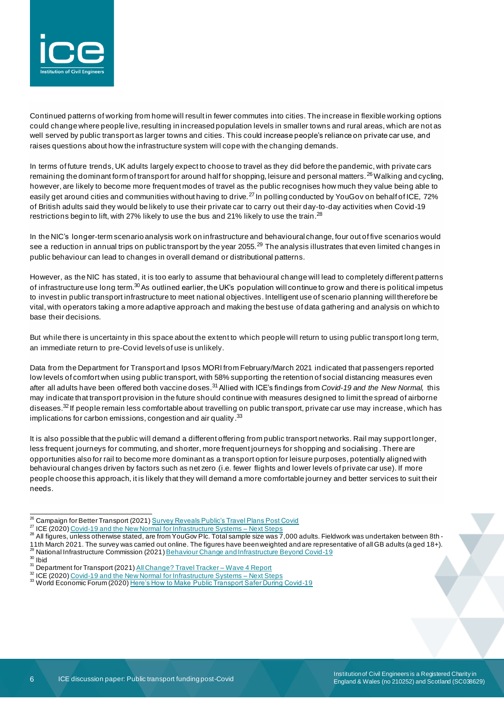

Continued patterns of working from home will result in fewer commutes into cities. The increase in flexible working options could change where people live, resulting in increased population levels in smaller towns and rural areas, which are not as well served by public transport as larger towns and cities. This could increase people's reliance on private car use, and raises questions about how the infrastructure system will cope with the changing demands.

In terms of future trends, UK adults largely expect to choose to travel as they did before the pandemic, with private cars remaining the dominant form of transport for around half for shopping, leisure and personal matters. <sup>26</sup> Walking and cycling, however, are likely to become more frequent modes of travel as the public recognises how much they value being able to easily get around cities and communities without having to drive.<sup>27</sup> In polling conducted by YouGov on behalf of ICE, 72% of British adults said they would be likely to use their private car to carry out their day-to-day activities when Covid-19 restrictions begin to lift, with 27% likely to use the bus and 21% likely to use the train.<sup>28</sup>

In the NIC's longer-term scenario analysis work on infrastructure and behavioural change, four out of five scenarios would see a reduction in annual trips on public transport by the year 2055.<sup>29</sup> The analysis illustrates that even limited changes in public behaviour can lead to changes in overall demand or distributional patterns.

However, as the NIC has stated, it is too early to assume that behavioural change will lead to completely different patterns of infrastructure use long term.<sup>30</sup> As outlined earlier, the UK's population will continue to grow and there is political impetus to invest in public transport infrastructure to meet national objectives. Intelligent use of scenario planning will therefore be vital, with operators taking a more adaptive approach and making the best use of data gathering and analysis on which to base their decisions.

But while there is uncertainty in this space about the extent to which people will return to using public transport long term, an immediate return to pre-Covid levels of use is unlikely.

Data from the Department for Transport and Ipsos MORI from February/March 2021 indicated that passengers reported low levels of comfort when using public transport, with 58% supporting the retention of social distancing measures even after all adults have been offered both vaccine doses.31Allied with ICE's findings from *Covid-19 and the New Normal,* this may indicate that transport provision in the future should continue with measures designed to limit the spread of airborne diseases. <sup>32</sup> If people remain less comfortable about travelling on public transport, private car use may increase, which has implications for carbon emissions, congestion and air quality.<sup>33</sup>

It is also possible that the public will demand a different offering from public transport networks. Rail may support longer, less frequent journeys for commuting, and shorter, more frequent journeys for shopping and socialising . There are opportunities also for rail to become more dominant as a transport option for leisure purposes, potentially aligned with behavioural changes driven by factors such as net zero (i.e. fewer flights and lower levels of private car use). If more people choose this approach, it is likely that they will demand a more comfortable journey and better services to suit their needs.

<sup>&</sup>lt;sup>26</sup> Campaign for Better Transport (2021[\) Survey Reveals Public's Travel Plans Post Covid](https://bettertransport.org.uk/media/12-apr-2021-survey-reveals-publics-travel-plans-post-covid)

<sup>&</sup>lt;sup>27</sup> ICE (2020) [Covid-19 and the New Normal for Infrastructure Systems –](https://www.ice.org.uk/getattachment/news-and-insight/policy/covid-and-new-normal-for-infrastructure-systems/icg-ice-covid-19-and-the-reinvention-of-infrastructure-delivery-a-white-paper-web.pdf.aspx) Next Steps

 $^{28}$  All figures, unless otherwise stated, are from YouGov Plc. Total sample size was 7,000 adults. Fieldwork was undertaken between 8th -11th March 2021. The survey was carried out online. The figures have been weighted and are representative of all GB adults (a ged 18+).

<sup>29</sup> National Infrastructure Commission (2021[\) Behaviour Change and Infrastructure Beyond Covid-19](https://nic.org.uk/studies-reports/behaviour-change-and-infrastructure-beyond-covid-19/)

 $30$  Ibid

<sup>31</sup> Department for Transport (2021[\) All Change? Travel Tracker –](https://www.gov.uk/government/publications/covid-19-travel-behaviour-during-the-lockdown) Wave 4 Report

<sup>&</sup>lt;sup>32</sup> ICE (2020) [Covid-19 and the New Normal for Infrastructure Systems –](https://www.ice.org.uk/getattachment/news-and-insight/policy/covid-and-new-normal-for-infrastructure-systems/icg-ice-covid-19-and-the-reinvention-of-infrastructure-delivery-a-white-paper-web.pdf.aspx) Next Steps

<sup>&</sup>lt;sup>33</sup> World Economic Forum (2020) [Here's How to Make Public Transport Safer During Covid-19](https://www.weforum.org/agenda/2020/07/masks-subway-disinfectant-how-to-make-commuters-feel-safe-after-covid-19/)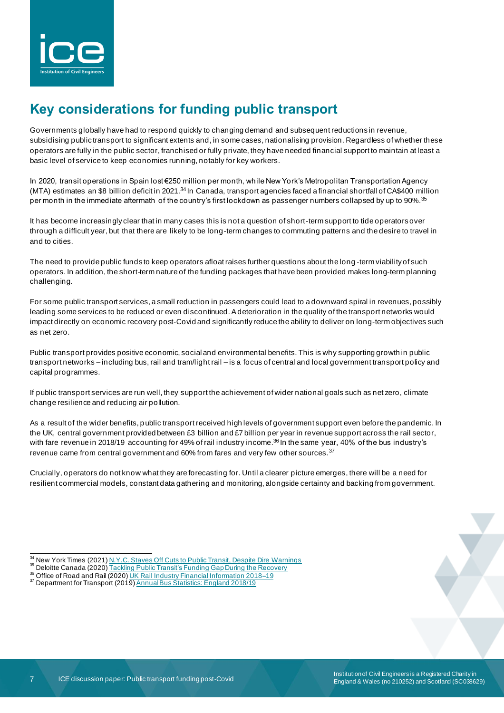

# **Key considerations for funding public transport**

Governments globally have had to respond quickly to changing demand and subsequent reductions in revenue, subsidising public transport to significant extents and, in some cases, nationalising provision. Regardless of whether these operators are fully in the public sector, franchised or fully private, they have needed financial support to maintain at least a basic level of service to keep economies running, notably for key workers.

In 2020, transit operations in Spain lost €250 million per month, while New York's Metropolitan Transportation Agency (MTA) estimates an \$8 billion deficit in 2021.<sup>34</sup> In Canada, transport agencies faced a financial shortfall of CA\$400 million per month in the immediate aftermath of the country's first lockdown as passenger numbers collapsed by up to 90%.<sup>35</sup>

It has become increasingly clear that in many cases this is not a question of short-term support to tide operators over through a difficult year, but that there are likely to be long-term changes to commuting patterns and the desire to travel in and to cities.

The need to provide public funds to keep operators afloat raises further questions about the long -term viability of such operators. In addition, the short-term nature of the funding packages that have been provided makes long-term planning challenging.

For some public transport services, a small reduction in passengers could lead to a downward spiral in revenues, possibly leading some services to be reduced or even discontinued. A deterioration in the quality of the transport networks would impact directly on economic recovery post-Covid and significantly reduce the ability to deliver on long-term objectives such as net zero.

Public transport provides positive economic, social and environmental benefits. This is why supporting growth in public transport networks – including bus, rail and tram/light rail – is a focus of central and local government transport policy and capital programmes.

If public transport services are run well, they support the achievement of wider national goals such as net zero, climate change resilience and reducing air pollution.

As a result of the wider benefits, public transport received high levels of government support even before the pandemic. In the UK, central government provided between £3 billion and £7 billion per year in revenue support across the rail sector, with fare revenue in 2018/19 accounting for 49% of rail industry income. <sup>36</sup> In the same year, 40% of the bus industry's revenue came from central government and 60% from fares and very few other sources.<sup>37</sup>

Crucially, operators do not know what they are forecasting for. Until a clearer picture emerges, there will be a need for resilient commercial models, constant data gathering and monitoring, alongside certainty and backing from government.

New York Times (2021) [N.Y.C. Staves Off Cuts to Public Transit, Despite Dire Warnings](https://www.nytimes.com/2021/02/18/nyregion/nyc-subway-bus-budget.html)

<sup>&</sup>lt;sup>35</sup> Deloitte Canada (2020[\) Tackling Public Transit's Funding Gap During the Recovery](https://www2.deloitte.com/content/dam/Deloitte/ca/Documents/public-sector/ca-tackling-public-transits-funding-gap-en-aoda.pdf)

<sup>&</sup>lt;sup>36</sup> Office of Road and Rail (2020[\) UK Rail Industry Financial Information 2018–19](https://www.orr.gov.uk/sites/default/files/om/uk-rail-industry-financial-information-2018-19.pdf)

<sup>&</sup>lt;sup>37</sup> Department for Transport (2019) [Annual Bus Statistics: England 2018/19](https://assets.publishing.service.gov.uk/government/uploads/system/uploads/attachment_data/file/852652/annual-bus-statistics-2019.pdf)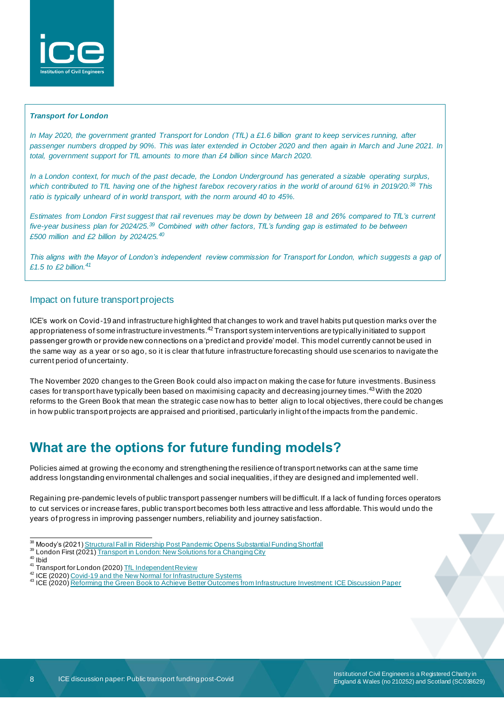

#### *Transport for London*

*In May 2020, the government granted Transport for London (TfL) a £1.6 billion grant to keep services running, after* passenger numbers dropped by 90%. This was later extended in October 2020 and then again in March and June 2021. In *total, government support for TfL amounts to more than £4 billion since March 2020.*

*In a London context, for much of the past decade, the London Underground has generated a sizable operating surplus, which contributed to TfL having one of the highest farebox recovery ratios in the world of around 61% in 2019/20. <sup>38</sup> This ratio is typically unheard of in world transport, with the norm around 40 to 45%.*

*Estimates from London First suggest that rail revenues may be down by between 18 and 26% compared to TfL's current five-year business plan for 2024/25.<sup>39</sup> Combined with other factors, TfL's funding gap is estimated to be between £500 million and £2 billion by 2024/25.<sup>40</sup>*

*This aligns with the Mayor of London's independent review commission for Transport for London, which suggests a gap of £1.5 to £2 billion.<sup>41</sup>*

### Impact on future transport projects

ICE's work on Covid-19 and infrastructure highlighted that changes to work and travel habits put question marks over the appropriateness of some infrastructure investments.<sup>42</sup> Transport system interventions are typically initiated to support passenger growth or provide new connections on a 'predict and provide' model. This model currently cannot be used in the same way as a year or so ago, so it is clear that future infrastructure forecasting should use scenarios to navigate the current period of uncertainty.

The November 2020 changes to the Green Book could also impact on making the case for future investments. Business cases for transport have typically been based on maximising capacity and decreasing journey times.43With the 2020 reforms to the Green Book that mean the strategic case now has to better align to local objectives, there could be changes in how public transport projects are appraised and prioritised, particularly in light of the impacts from the pandemic.

## **What are the options for future funding models?**

Policies aimed at growing the economy and strengthening the resilience of transport networks can at the same time address longstanding environmental challenges and social inequalities, if they are designed and implemented well.

Regaining pre-pandemic levels of public transport passenger numbers will be difficult. If a lack of funding forces operators to cut services or increase fares, public transport becomes both less attractive and less affordable. This would undo the years of progress in improving passenger numbers, reliability and journey satisfaction.

- 38 Moody's (2021[\) Structural Fall in Ridership Post Pandemic Opens Substantial Funding Shortfall](https://www.lagazettedescommunes.com/telechargements/2021/04/sector-in-depth-global-transportation-29mar21.pdf)
- <sup>39</sup> London First (2021[\) Transport in London: New Solutions for a Changing City](https://www.londonfirst.co.uk/sites/default/files/documents/2021-01/TransportInLondon.pdf)

<sup>40</sup> Ibid

- 41 Transport for London (2020[\) TfL Independent Review](https://content.tfl.gov.uk/tfl-independent-panel-review-december-2020.pdf)
- <sup>42</sup> ICE (2020) [Covid-19 and the New Normal for Infrastructure Systems](https://www.ice.org.uk/getattachment/news-and-insight/policy/covid-19-and-the-new-normal-for-infrastructure/icg-ice-covid-19-new-normal-infrastructure-systems.pdf.aspx#_ga=2.196986540.1684448927.1622468352-1714938937.1528710932)
- 43 ICE (2020) [Reforming the Green Book to Achieve Better Outcomes from Infrastructure Investment: ICE Discussion Paper](https://www.ice.org.uk/getattachment/news-and-insight/policy/reforming-the-green-book-towards-better-outcomes/ICE-Green-Book-discussion-paper-FINAL.pdf.aspx#_ga=2.132931982.1684448927.1622468352-1714938937.1528710932)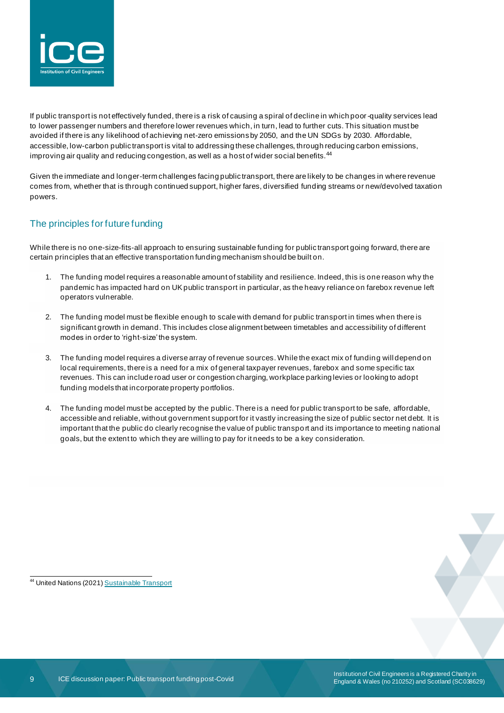

If public transport is not effectively funded, there is a risk of causing a spiral of decline in which poor-quality services lead to lower passenger numbers and therefore lower revenues which, in turn, lead to further cuts. This situation must be avoided if there is any likelihood of achieving net-zero emissions by 2050, and the UN SDGs by 2030. Affordable, accessible, low-carbon public transport is vital to addressing these challenges, through reducing carbon emissions, improving air quality and reducing congestion, as well as a host of wider social benefits.<sup>44</sup>

Given the immediate and longer-term challenges facing public transport, there are likely to be changes in where revenue comes from, whether that is through continued support, higher fares, diversified funding streams or new/devolved taxation powers.

### The principles for future funding

While there is no one-size-fits-all approach to ensuring sustainable funding for public transport going forward, there are certain principles that an effective transportation funding mechanism should be built on.

- 1. The funding model requires a reasonable amount of stability and resilience. Indeed, this is one reason why the pandemic has impacted hard on UK public transport in particular, as the heavy reliance on farebox revenue left operators vulnerable.
- 2. The funding model must be flexible enough to scale with demand for public transport in times when there is significant growth in demand. This includes close alignment between timetables and accessibility of different modes in order to 'right-size' the system.
- 3. The funding model requires a diverse array of revenue sources. While the exact mix of funding will depend on local requirements, there is a need for a mix of general taxpayer revenues, farebox and some specific tax revenues. This can include road user or congestion charging, workplace parking levies or looking to adopt funding models that incorporate property portfolios.
- 4. The funding model must be accepted by the public. There is a need for public transport to be safe, affordable, accessible and reliable, without government support for it vastly increasing the size of public sector net debt. It is important that the public do clearly recognise the value of public transpo rt and its importance to meeting national goals, but the extent to which they are willing to pay for it needs to be a key consideration.

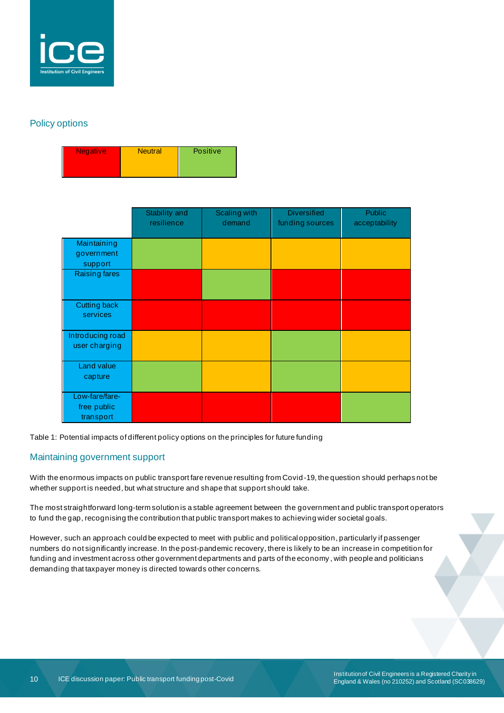

### Policy options

| <b>Negative</b> | <b>Neutral</b> | <b>Positive</b> |
|-----------------|----------------|-----------------|
|                 |                |                 |

|                                            | Stability and<br>resilience | Scaling with<br>demand | <b>Diversified</b><br>funding sources | Public<br>acceptability |
|--------------------------------------------|-----------------------------|------------------------|---------------------------------------|-------------------------|
| Maintaining<br>government<br>support       |                             |                        |                                       |                         |
| Raising fares                              |                             |                        |                                       |                         |
| Cutting back<br>services                   |                             |                        |                                       |                         |
| Introducing road<br>user charging          |                             |                        |                                       |                         |
| Land value<br>capture                      |                             |                        |                                       |                         |
| Low-fare/fare-<br>free public<br>transport |                             |                        |                                       |                         |

Table 1: Potential impacts of different policy options on the principles for future funding

### Maintaining government support

With the enormous impacts on public transport fare revenue resulting from Covid-19, the question should perhaps not be whether support is needed, but what structure and shape that support should take.

The most straightforward long-term solution is a stable agreement between the government and public transport operators to fund the gap, recognising the contribution that public transport makes to achieving wider societal goals.

However, such an approach could be expected to meet with public and political opposition, particularly if passenger numbers do not significantly increase. In the post-pandemic recovery, there is likely to be an increase in competition for funding and investment across other government departments and parts of the economy , with people and politicians demanding that taxpayer money is directed towards other concerns.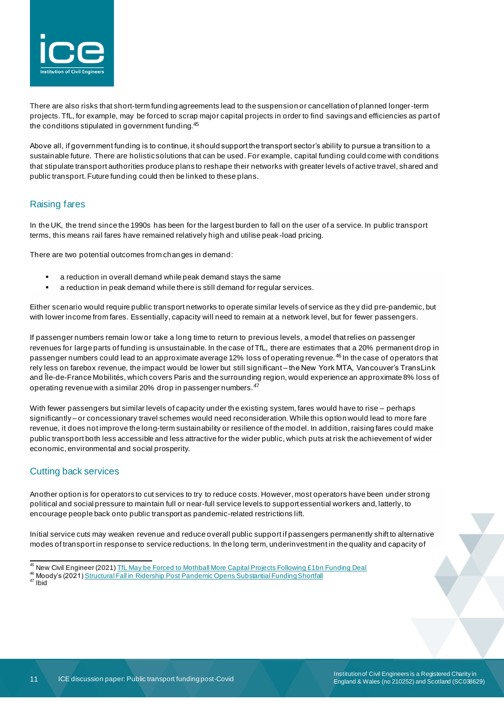

There are also risks that short-term funding agreements lead to the suspension or cancellation of planned longer-term projects. TfL, for example, may be forced to scrap major capital projects in order to find savings and efficiencies as part of the conditions stipulated in government funding.<sup>45</sup>

Above all, if government funding is to continue, it should support the transport sector's ability to pursue a transition to a sustainable future. There are holistic solutions that can be used. For example, capital funding could come with conditions that stipulate transport authorities produce plans to reshape their networks with greater levels of active travel, shared and public transport. Future funding could then be linked to these plans.

#### Raising fares

In the UK, the trend since the 1990s has been for the largest burden to fall on the user of a service. In public transport terms, this means rail fares have remained relatively high and utilise peak -load pricing.

There are two potential outcomes from changes in demand:

- a reduction in overall demand while peak demand stays the same
- a reduction in peak demand while there is still demand for regular services.

Either scenario would require public transport networks to operate similar levels of service as they did pre-pandemic, but with lower income from fares. Essentially, capacity will need to remain at a network level, but for fewer passengers.

If passenger numbers remain low or take a long time to return to previous levels, a model that relies on passenger revenues for large parts of funding is unsustainable. In the case of TfL, there are estimates that a 20% permanent drop in passenger numbers could lead to an approximate average 12% loss of operating revenue.<sup>46</sup> In the case of operators that rely less on farebox revenue, the impact would be lower but still significant – the New York MTA, Vancouver's TransLink and Île-de-France Mobilités, which covers Paris and the surrounding region, would experience an approximate 8% loss of operating revenue with a similar 20% drop in passenger numbers.<sup>47</sup>

With fewer passengers but similar levels of capacity under the existing system, fares would have to rise – perhaps significantly – or concessionary travel schemes would need reconsideration. While this option would lead to more fare revenue, it does not improve the long-term sustainability or resilience of the model. In addition, raising fares could make public transport both less accessible and less attractive for the wider public, which puts at risk the achievement of wider economic, environmental and social prosperity.

### Cutting back services

Another option is for operators to cut services to try to reduce costs. However, most operators have been under strong political and social pressure to maintain full or near-full service levels to support essential workers and, latterly, to encourage people back onto public transport as pandemic-related restrictions lift.

Initial service cuts may weaken revenue and reduce overall public support if passengers permanently shift to alternative modes of transport in response to service reductions. In the long term, underinvestment in the quality and capacity of

<sup>&</sup>lt;sup>45</sup> New Civil Engineer (2021) TfL May be Forced [to Mothball More Capital Projects Following £1bn Funding Deal](https://www.newcivilengineer.com/latest/tfl-may-be-forced-to-mothball-more-capital-projects-following-1bn-funding-deal-03-06-2021/)

<sup>46</sup> Moody's (2021[\) Structural Fall in Ridership Post Pandemic Opens Substantial Funding Shortfall](https://www.lagazettedescommunes.com/telechargements/2021/04/sector-in-depth-global-transportation-29mar21.pdf)

<sup>47</sup> Ibid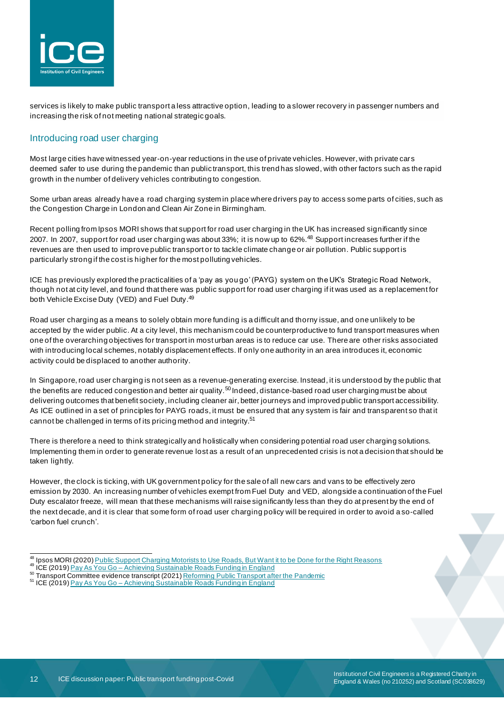

services is likely to make public transport a less attractive option, leading to a slower recovery in passenger numbers and increasing the risk of not meeting national strategic goals.

### Introducing road user charging

Most large cities have witnessed year-on-year reductions in the use of private vehicles. However, with private cars deemed safer to use during the pandemic than public transport, this trend has slowed, with other factors such as the rapid growth in the number of delivery vehicles contributing to congestion.

Some urban areas already have a road charging system in place where drivers pay to access some parts of cities, such as the Congestion Charge in London and Clean Air Zone in Birmingham.

Recent polling from Ipsos MORI shows that support for road user charging in the UK has increased significantly since 2007. In 2007, support for road user charging was about 33%; it is now up to 62%.<sup>48</sup> Support increases further if the revenues are then used to improve public transport or to tackle climate change or air pollution. Public support is particularly strong if the cost is higher for the most polluting vehicles.

ICE has previously explored the practicalities of a 'pay as you go' (PAYG) system on the UK's Strategic Road Network, though not at city level, and found that there was public support for road user charging if it was used as a replacement for both Vehicle Excise Duty (VED) and Fuel Duty.<sup>49</sup>

Road user charging as a means to solely obtain more funding is a difficult and thorny issue, and one unlikely to be accepted by the wider public. At a city level, this mechanism could be counterproductive to fund transport measures when one of the overarching objectives for transport in most urban areas is to reduce car use. There are other risks associated with introducing local schemes, notably displacement effects. If only one authority in an area introduces it, economic activity could be displaced to another authority.

In Singapore, road user charging is not seen as a revenue-generating exercise. Instead, it is understood by the public that the benefits are reduced congestion and better air quality.<sup>50</sup> Indeed, distance-based road user charging must be about delivering outcomes that benefit society, including cleaner air, better journeys and improved public transport accessibility. As ICE outlined in a set of principles for PAYG roads, it must be ensured that any system is fair and transparent so that it cannot be challenged in terms of its pricing method and integrity.<sup>51</sup>

There is therefore a need to think strategically and holistically when considering potential road user charging solutions. Implementing them in order to generate revenue lost as a result of an unprecedented crisis is not a decision that should be taken lightly.

However, the clock is ticking, with UK government policy for the sale of all new cars and vans to be effectively zero emission by 2030. An increasing number of vehicles exempt from Fuel Duty and VED, alongside a continuation of the Fuel Duty escalator freeze, will mean that these mechanisms will raise significantly less than they do at present by the end of the next decade, and it is clear that some form of road user charging policy will be required in order to avoid a so-called 'carbon fuel crunch'.

Ipsos MORI (2020) [Public Support Charging Motorists to Use Roads, But Want it to be Done for the Right Reasons](https://www.ipsos.com/ipsos-mori/en-uk/public-support-charging-motorists-use-roads-want-it-be-done-right-reasons)

<sup>49</sup> ICE (2019) Pay As You Go – [Achieving Sustainable Roads Funding in England](https://www.ice.org.uk/news-and-insight/policy/pay-as-you-go-sustainable-roads-funding)

<sup>&</sup>lt;sup>50</sup> Transport Committee evidence transcript (2021) [Reforming Public Transport after the Pandemic](https://committees.parliament.uk/oralevidence/1555/pdf/)

<sup>&</sup>lt;sup>51</sup> ICE (2019) Pay As You Go – [Achieving Sustainable Roads Funding in England](https://www.ice.org.uk/news-and-insight/policy/pay-as-you-go-sustainable-roads-funding)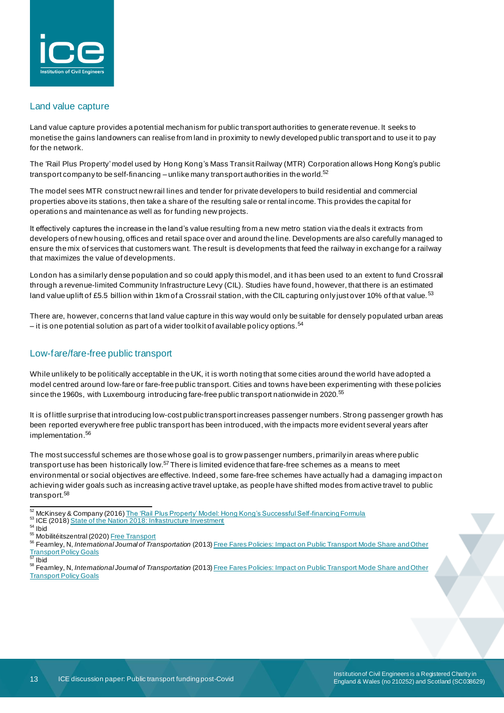

#### Land value capture

Land value capture provides a potential mechanism for public transport authorities to generate revenue. It seeks to monetise the gains landowners can realise from land in proximity to newly developed public transport and to use it to pay for the network.

The 'Rail Plus Property' model used by Hong Kong's Mass Transit Railway (MTR) Corporation allows Hong Kong's public transport company to be self-financing – unlike many transport authorities in the world. $^{52}$ 

The model sees MTR construct new rail lines and tender for private developers to build residential and commercial properties above its stations, then take a share of the resulting sale or rental income. This provides the capital for operations and maintenance as well as for funding new projects.

It effectively captures the increase in the land's value resulting from a new metro station via the deals it extracts from developers of new housing, offices and retail space over and around the line. Developments are also carefully managed to ensure the mix of services that customers want. The result is developments that feed the railway in exchange for a railway that maximizes the value of developments.

London has a similarly dense population and so could apply this model, and it has been used to an extent to fund Crossrail through a revenue-limited Community Infrastructure Levy (CIL). Studies have found, however, that there is an estimated land value uplift of £5.5 billion within 1km of a Crossrail station, with the CIL capturing only just over 10% of that value.<sup>53</sup>

There are, however, concerns that land value capture in this way would only be suitable for densely populated urban areas – it is one potential solution as part of a wider toolkit of available policy options.<sup>54</sup>

### Low-fare/fare-free public transport

While unlikely to be politically acceptable in the UK, it is worth noting that some cities around the world have adopted a model centred around low-fare or fare-free public transport. Cities and towns have been experimenting with these policies since the 1960s, with Luxembourg introducing fare-free public transport nationwide in 2020.<sup>55</sup>

It is of little surprise that introducing low-cost public transport increases passenger numbers. Strong passenger growth has been reported everywhere free public transport has been introduced, with the impacts more evident several years after implementation.<sup>56</sup>

The most successful schemes are those whose goal is to grow passenger numbers, primarily in areas where public transport use has been historically low.<sup>57</sup> There is limited evidence that fare-free schemes as a means to meet environmental or social objectives are effective. Indeed, some fare-free schemes have actually had a damaging impact on achieving wider goals such as increasing active travel uptake, as people have shifted modes from active travel to public transport.<sup>58</sup>

<sup>55</sup> Mobilitéitszentral (2020[\) Free Transport](https://www.mobiliteit.lu/en/tickets/free-transport/)

<sup>52</sup> McKinsey & Company (2016[\) The 'Rail Plus Property' Model: Hong Kong's Successful Self-financing Formula](https://www.mckinsey.com/business-functions/operations/our-insights/the-rail-plus-property-model) <sup>53</sup> ICE (2018) [State of the Nation 2018: Infrastructure Investment](https://www.ice.org.uk/ICEDevelopmentWebPortal/media/Documents/Media/Policy/ICE-SoN-Investment-2018.pdf)

<sup>54</sup> Ibid

<sup>56</sup> Fearnley, N, *International Journal of Transportation* (2013[\) Free Fares Policies: Impact on Public Transport Mode Share and Other](https://pdfs.semanticscholar.org/cc1d/94a6da5b1541f9cc0c81e38a9b19ef96b2e9.pdf)  **[Transport Policy Goals](https://pdfs.semanticscholar.org/cc1d/94a6da5b1541f9cc0c81e38a9b19ef96b2e9.pdf)** 

**Ibid** 

<sup>58</sup> Fearnley, N, *International Journal of Transportation* (2013) [Free Fares Policies: Impact on Public Transport Mode Share and Other](https://pdfs.semanticscholar.org/cc1d/94a6da5b1541f9cc0c81e38a9b19ef96b2e9.pdf)  [Transport Policy Goals](https://pdfs.semanticscholar.org/cc1d/94a6da5b1541f9cc0c81e38a9b19ef96b2e9.pdf)